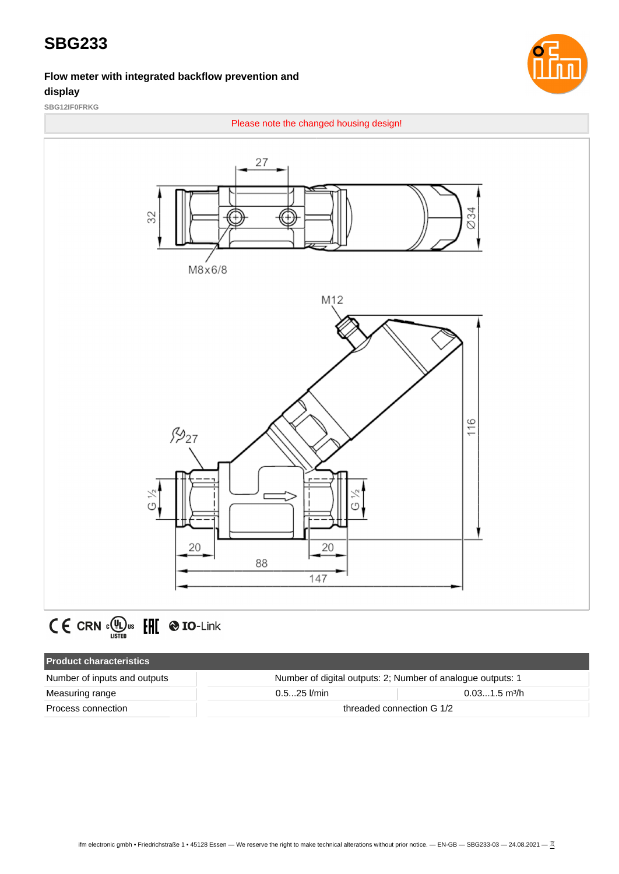#### **Flow meter with integrated backflow prevention and display**



**SBG12IF0FRKG**



# $C \in \text{CRN} \cdot \mathcal{L}$   $\text{CRN} \cdot \mathcal{L}$   $\text{CRN} \cdot \text{CRN}$   $\text{CRN} \cdot \text{CRN}$

| <b>Product characteristics</b> |                                                             |                             |  |  |
|--------------------------------|-------------------------------------------------------------|-----------------------------|--|--|
| Number of inputs and outputs   | Number of digital outputs: 2; Number of analogue outputs: 1 |                             |  |  |
| Measuring range                | $0.525$ I/min                                               | $0.031.5$ m <sup>3</sup> /h |  |  |
| Process connection             | threaded connection G 1/2                                   |                             |  |  |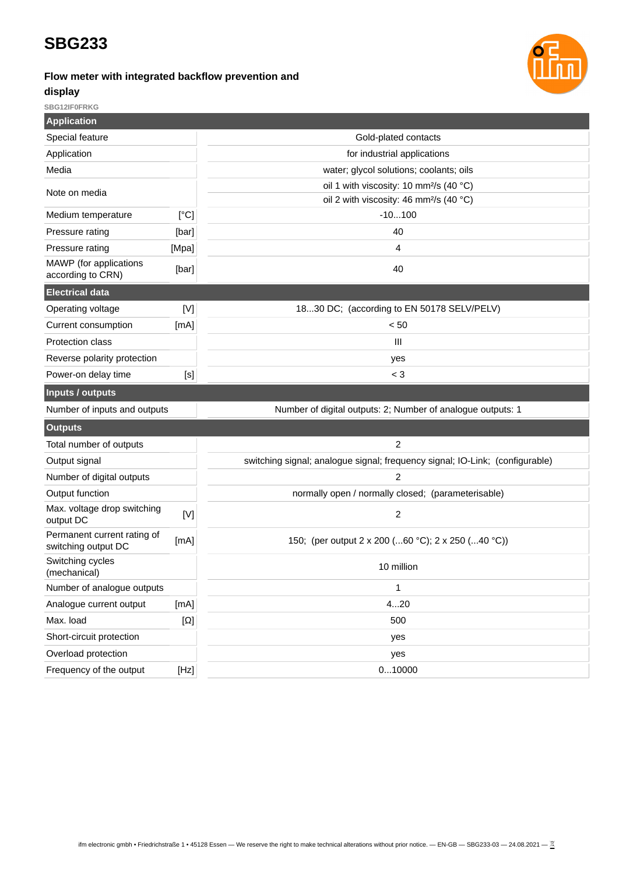# **Flow meter with integrated backflow prevention and**



#### **display**

**SBG12IF0FRKG**

| <b>Application</b>                                 |                                                                              |                                                             |  |
|----------------------------------------------------|------------------------------------------------------------------------------|-------------------------------------------------------------|--|
| Special feature                                    | Gold-plated contacts                                                         |                                                             |  |
| Application                                        |                                                                              | for industrial applications                                 |  |
| Media                                              |                                                                              | water; glycol solutions; coolants; oils                     |  |
| Note on media                                      |                                                                              | oil 1 with viscosity: 10 mm <sup>2</sup> /s (40 °C)         |  |
|                                                    |                                                                              | oil 2 with viscosity: 46 mm <sup>2</sup> /s (40 °C)         |  |
| Medium temperature                                 | [°C]                                                                         | $-10100$                                                    |  |
| Pressure rating                                    | [bar]                                                                        | 40                                                          |  |
| Pressure rating                                    | [Mpa]                                                                        | 4                                                           |  |
| MAWP (for applications<br>according to CRN)        | [bar]                                                                        | 40                                                          |  |
| <b>Electrical data</b>                             |                                                                              |                                                             |  |
| Operating voltage                                  | [N]                                                                          | 1830 DC; (according to EN 50178 SELV/PELV)                  |  |
| Current consumption                                | [mA]                                                                         | < 50                                                        |  |
| Protection class                                   |                                                                              | Ш                                                           |  |
| Reverse polarity protection                        |                                                                              | yes                                                         |  |
| Power-on delay time                                | [s]                                                                          | $<$ 3                                                       |  |
| <b>Inputs / outputs</b>                            |                                                                              |                                                             |  |
| Number of inputs and outputs                       |                                                                              | Number of digital outputs: 2; Number of analogue outputs: 1 |  |
| <b>Outputs</b>                                     |                                                                              |                                                             |  |
| Total number of outputs                            |                                                                              | 2                                                           |  |
| Output signal                                      | switching signal; analogue signal; frequency signal; IO-Link; (configurable) |                                                             |  |
| Number of digital outputs                          |                                                                              | 2                                                           |  |
| Output function                                    |                                                                              | normally open / normally closed; (parameterisable)          |  |
| Max. voltage drop switching<br>output DC           | [V]                                                                          | $\overline{c}$                                              |  |
| Permanent current rating of<br>switching output DC | [mA]                                                                         | 150; (per output 2 x 200 (60 °C); 2 x 250 (40 °C))          |  |
| Switching cycles<br>(mechanical)                   |                                                                              | 10 million                                                  |  |
| Number of analogue outputs                         |                                                                              | 1                                                           |  |
| Analogue current output                            | [mA]                                                                         | 420                                                         |  |
| Max. load                                          | $[\Omega]$                                                                   | 500                                                         |  |
| Short-circuit protection                           | yes                                                                          |                                                             |  |
| Overload protection                                | yes                                                                          |                                                             |  |
| Frequency of the output                            | [Hz]                                                                         | 010000                                                      |  |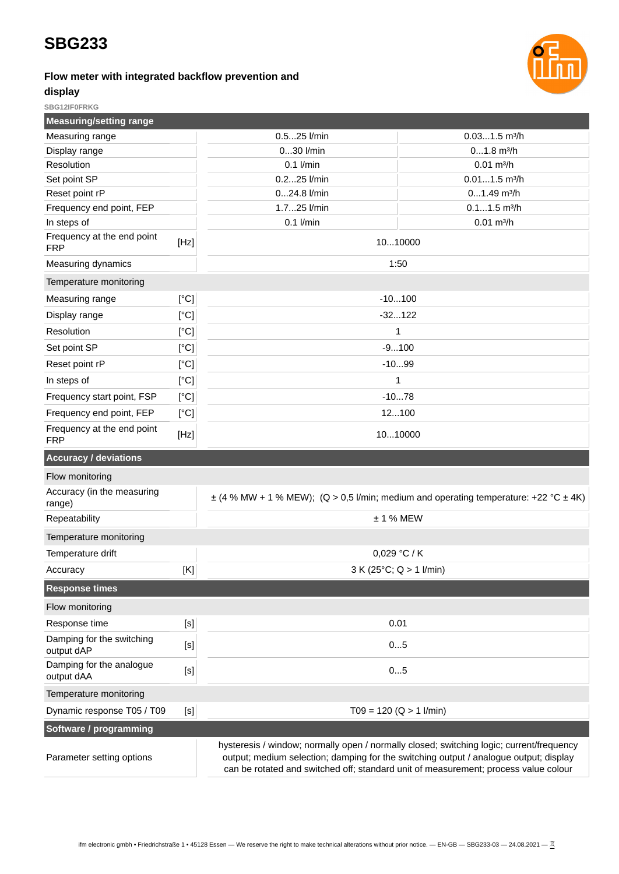#### **Flow meter with integrated backflow prevention and**



#### **display SBG12IF0FRKG**

| <b>Measuring/setting range</b>           |                |                                                                                                                                                                                                                                                                          |                             |  |
|------------------------------------------|----------------|--------------------------------------------------------------------------------------------------------------------------------------------------------------------------------------------------------------------------------------------------------------------------|-----------------------------|--|
| Measuring range                          |                | 0.525 l/min                                                                                                                                                                                                                                                              | $0.031.5$ m <sup>3</sup> /h |  |
| Display range                            |                | 030 l/min                                                                                                                                                                                                                                                                | $01.8$ m $3/h$              |  |
| Resolution                               |                | $0.1$ I/min                                                                                                                                                                                                                                                              | $0.01$ m <sup>3</sup> /h    |  |
| Set point SP                             |                | 0.225 l/min                                                                                                                                                                                                                                                              | $0.011.5$ m <sup>3</sup> /h |  |
| Reset point rP                           |                | 024.8 l/min                                                                                                                                                                                                                                                              | $01.49$ m <sup>3</sup> /h   |  |
| Frequency end point, FEP                 |                | 1.725 l/min                                                                                                                                                                                                                                                              | $0.11.5$ m <sup>3</sup> /h  |  |
| In steps of                              |                | $0.1$ I/min                                                                                                                                                                                                                                                              | $0.01 \text{ m}^3/h$        |  |
| Frequency at the end point<br><b>FRP</b> | [Hz]           | 1010000                                                                                                                                                                                                                                                                  |                             |  |
| Measuring dynamics                       |                |                                                                                                                                                                                                                                                                          | 1:50                        |  |
| Temperature monitoring                   |                |                                                                                                                                                                                                                                                                          |                             |  |
| Measuring range                          | [°C]           |                                                                                                                                                                                                                                                                          | $-10100$                    |  |
| Display range                            | [°C]           |                                                                                                                                                                                                                                                                          | $-32122$                    |  |
| Resolution                               | [°C]           |                                                                                                                                                                                                                                                                          | $\mathbf{1}$                |  |
| Set point SP                             | [°C]           |                                                                                                                                                                                                                                                                          | $-9100$                     |  |
| Reset point rP                           | [°C]           |                                                                                                                                                                                                                                                                          | $-1099$                     |  |
| In steps of                              | [°C]           |                                                                                                                                                                                                                                                                          | $\mathbf{1}$                |  |
| Frequency start point, FSP               | [°C]           |                                                                                                                                                                                                                                                                          | $-1078$                     |  |
| Frequency end point, FEP                 | [°C]           | 12100                                                                                                                                                                                                                                                                    |                             |  |
| Frequency at the end point<br><b>FRP</b> | [Hz]           | 1010000                                                                                                                                                                                                                                                                  |                             |  |
| <b>Accuracy / deviations</b>             |                |                                                                                                                                                                                                                                                                          |                             |  |
| Flow monitoring                          |                |                                                                                                                                                                                                                                                                          |                             |  |
| Accuracy (in the measuring<br>range)     |                | $\pm$ (4 % MW + 1 % MEW); (Q > 0,5 l/min; medium and operating temperature: +22 °C $\pm$ 4K)                                                                                                                                                                             |                             |  |
| Repeatability                            |                | $± 1%$ MEW                                                                                                                                                                                                                                                               |                             |  |
| Temperature monitoring                   |                |                                                                                                                                                                                                                                                                          |                             |  |
| Temperature drift                        |                | 0,029 °C / K                                                                                                                                                                                                                                                             |                             |  |
| Accuracy                                 | $[\mathsf{K}]$ | 3 K (25°C; Q > 1 l/min)                                                                                                                                                                                                                                                  |                             |  |
| <b>Response times</b>                    |                |                                                                                                                                                                                                                                                                          |                             |  |
| Flow monitoring                          |                |                                                                                                                                                                                                                                                                          |                             |  |
| Response time                            | $[<]$          | 0.01                                                                                                                                                                                                                                                                     |                             |  |
| Damping for the switching<br>output dAP  | [S]            | 05                                                                                                                                                                                                                                                                       |                             |  |
| Damping for the analogue<br>output dAA   | $[S]$          | 05                                                                                                                                                                                                                                                                       |                             |  |
| Temperature monitoring                   |                |                                                                                                                                                                                                                                                                          |                             |  |
| Dynamic response T05 / T09               | $[S]$          | $T09 = 120 (Q > 1$ l/min)                                                                                                                                                                                                                                                |                             |  |
| Software / programming                   |                |                                                                                                                                                                                                                                                                          |                             |  |
| Parameter setting options                |                | hysteresis / window; normally open / normally closed; switching logic; current/frequency<br>output; medium selection; damping for the switching output / analogue output; display<br>can be rotated and switched off; standard unit of measurement; process value colour |                             |  |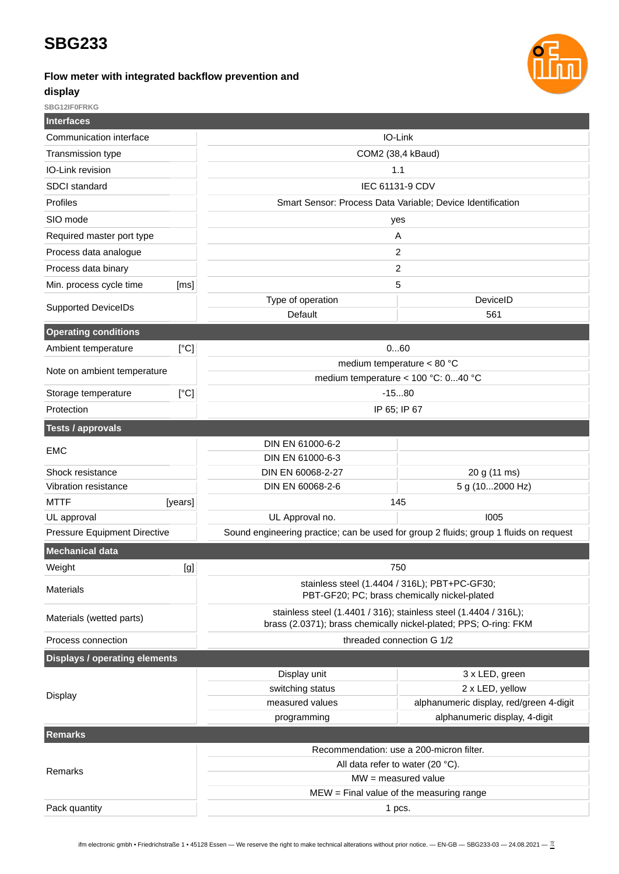#### **Flow meter with integrated backflow prevention and**



**display**

**SBG12IF0FRKG**

| <b>Interfaces</b>                        |         |                                                                                                                                      |                                                                                       |  |
|------------------------------------------|---------|--------------------------------------------------------------------------------------------------------------------------------------|---------------------------------------------------------------------------------------|--|
| Communication interface                  |         |                                                                                                                                      | IO-Link                                                                               |  |
| Transmission type                        |         | COM2 (38,4 kBaud)                                                                                                                    |                                                                                       |  |
| IO-Link revision                         |         | 1.1                                                                                                                                  |                                                                                       |  |
| <b>SDCI</b> standard                     |         | IEC 61131-9 CDV                                                                                                                      |                                                                                       |  |
| Profiles                                 |         | Smart Sensor: Process Data Variable; Device Identification                                                                           |                                                                                       |  |
| SIO mode                                 |         | yes                                                                                                                                  |                                                                                       |  |
| Required master port type                |         | Α                                                                                                                                    |                                                                                       |  |
| Process data analogue                    |         | 2                                                                                                                                    |                                                                                       |  |
| Process data binary                      |         | $\overline{c}$                                                                                                                       |                                                                                       |  |
| Min. process cycle time                  | [ms]    |                                                                                                                                      | 5                                                                                     |  |
| <b>Supported DeviceIDs</b>               |         | Type of operation                                                                                                                    | DeviceID                                                                              |  |
|                                          |         | Default                                                                                                                              | 561                                                                                   |  |
| <b>Operating conditions</b>              |         |                                                                                                                                      |                                                                                       |  |
| Ambient temperature                      | [°C]    |                                                                                                                                      | 060                                                                                   |  |
| Note on ambient temperature              |         | medium temperature < 80 $^{\circ}$ C                                                                                                 |                                                                                       |  |
|                                          |         |                                                                                                                                      | medium temperature < 100 °C: 040 °C                                                   |  |
| Storage temperature                      | [°C]    | $-1580$                                                                                                                              |                                                                                       |  |
| Protection                               |         | IP 65; IP 67                                                                                                                         |                                                                                       |  |
| <b>Tests / approvals</b>                 |         |                                                                                                                                      |                                                                                       |  |
| <b>EMC</b>                               |         | DIN EN 61000-6-2                                                                                                                     |                                                                                       |  |
|                                          |         | DIN EN 61000-6-3                                                                                                                     |                                                                                       |  |
| Shock resistance<br>Vibration resistance |         | DIN EN 60068-2-27                                                                                                                    | 20 g (11 ms)                                                                          |  |
| <b>MTTF</b>                              | [years] | DIN EN 60068-2-6<br>5 g (102000 Hz)<br>145                                                                                           |                                                                                       |  |
| UL approval                              |         | UL Approval no.                                                                                                                      | 1005                                                                                  |  |
| Pressure Equipment Directive             |         |                                                                                                                                      | Sound engineering practice; can be used for group 2 fluids; group 1 fluids on request |  |
| <b>Mechanical data</b>                   |         |                                                                                                                                      |                                                                                       |  |
| Weight                                   | [g]     |                                                                                                                                      |                                                                                       |  |
|                                          |         | 750                                                                                                                                  |                                                                                       |  |
| <b>Materials</b>                         |         | stainless steel (1.4404 / 316L); PBT+PC-GF30;<br>PBT-GF20; PC; brass chemically nickel-plated                                        |                                                                                       |  |
| Materials (wetted parts)                 |         | stainless steel (1.4401 / 316); stainless steel (1.4404 / 316L);<br>brass (2.0371); brass chemically nickel-plated; PPS; O-ring: FKM |                                                                                       |  |
| Process connection                       |         | threaded connection G 1/2                                                                                                            |                                                                                       |  |
| <b>Displays / operating elements</b>     |         |                                                                                                                                      |                                                                                       |  |
|                                          |         | Display unit                                                                                                                         | 3 x LED, green                                                                        |  |
| <b>Display</b>                           |         | switching status                                                                                                                     | 2 x LED, yellow                                                                       |  |
|                                          |         | measured values                                                                                                                      | alphanumeric display, red/green 4-digit                                               |  |
|                                          |         | programming                                                                                                                          | alphanumeric display, 4-digit                                                         |  |
| <b>Remarks</b>                           |         |                                                                                                                                      |                                                                                       |  |
|                                          |         | Recommendation: use a 200-micron filter.                                                                                             |                                                                                       |  |
| Remarks                                  |         | All data refer to water (20 °C).<br>$MW = measured value$                                                                            |                                                                                       |  |
|                                          |         | $MEW = Find$ value of the measuring range                                                                                            |                                                                                       |  |
| Pack quantity                            |         | 1 pcs.                                                                                                                               |                                                                                       |  |
|                                          |         |                                                                                                                                      |                                                                                       |  |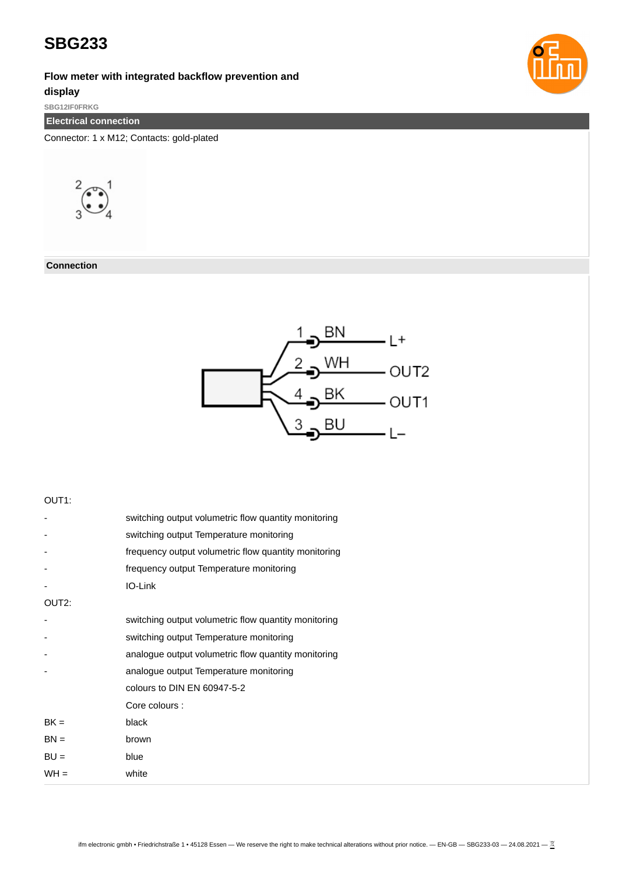**Flow meter with integrated backflow prevention and**

#### **display**

**SBG12IF0FRKG**

**Electrical connection**

Connector: 1 x M12; Contacts: gold-plated



**Connection**



#### OUT1:

|                    | switching output volumetric flow quantity monitoring |
|--------------------|------------------------------------------------------|
|                    | switching output Temperature monitoring              |
|                    | frequency output volumetric flow quantity monitoring |
|                    | frequency output Temperature monitoring              |
|                    | IO-Link                                              |
| OUT <sub>2</sub> : |                                                      |
|                    | switching output volumetric flow quantity monitoring |
|                    | switching output Temperature monitoring              |
|                    | analogue output volumetric flow quantity monitoring  |
|                    | analogue output Temperature monitoring               |
|                    | colours to DIN EN 60947-5-2                          |
|                    | Core colours :                                       |
| $BK =$             | black                                                |
| $BN =$             | brown                                                |
| $BU =$             | blue                                                 |
| $WH =$             | white                                                |